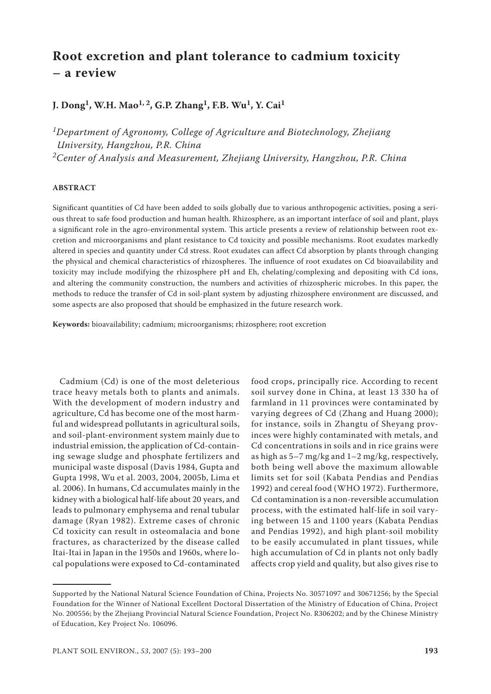# **Root excretion and plant tolerance to cadmium toxicity – a review**

## **J. Dong1, W.H. Mao1, 2, G.P. Zhang1, F.B. Wu1, Y. Cai1**

*1Department of Agronomy, College of Agriculture and Biotechnology, Zhejiang University, Hangzhou, P.R. China 2Center of Analysis and Measurement, Zhejiang University, Hangzhou, P.R. China*

#### **ABSTRACT**

Significant quantities of Cd have been added to soils globally due to various anthropogenic activities, posing a serious threat to safe food production and human health. Rhizosphere, as an important interface of soil and plant, plays a significant role in the agro-environmental system. This article presents a review of relationship between root excretion and microorganisms and plant resistance to Cd toxicity and possible mechanisms. Root exudates markedly altered in species and quantity under Cd stress. Root exudates can affect Cd absorption by plants through changing the physical and chemical characteristics of rhizospheres. The influence of root exudates on Cd bioavailability and toxicity may include modifying the rhizosphere pH and Eh, chelating/complexing and depositing with Cd ions, and altering the community construction, the numbers and activities of rhizospheric microbes. In this paper, the methods to reduce the transfer of Cd in soil-plant system by adjusting rhizosphere environment are discussed, and some aspects are also proposed that should be emphasized in the future research work.

**Keywords:** bioavailability; cadmium; microorganisms; rhizosphere; root excretion

Cadmium (Cd) is one of the most deleterious trace heavy metals both to plants and animals. With the development of modern industry and agriculture, Cd has become one of the most harmful and widespread pollutants in agricultural soils, and soil-plant-environment system mainly due to industrial emission, the application of Cd-containing sewage sludge and phosphate fertilizers and municipal waste disposal (Davis 1984, Gupta and Gupta 1998, Wu et al. 2003, 2004, 2005b, Lima et al. 2006). In humans, Cd accumulates mainly in the kidney with a biological half-life about 20 years, and leads to pulmonary emphysema and renal tubular damage (Ryan 1982). Extreme cases of chronic Cd toxicity can result in osteomalacia and bone fractures, as characterized by the disease called Itai-Itai in Japan in the 1950s and 1960s, where local populations were exposed to Cd-contaminated

food crops, principally rice. According to recent soil survey done in China, at least 13 330 ha of farmland in 11 provinces were contaminated by varying degrees of Cd (Zhang and Huang 2000); for instance, soils in Zhangtu of Sheyang provinces were highly contaminated with metals, and Cd concentrations in soils and in rice grains were as high as 5–7 mg/kg and 1–2 mg/kg, respectively, both being well above the maximum allowable limits set for soil (Kabata Pendias and Pendias 1992) and cereal food (WHO 1972). Furthermore, Cd contamination is a non-reversible accumulation process, with the estimated half-life in soil varying between 15 and 1100 years (Kabata Pendias and Pendias 1992), and high plant-soil mobility to be easily accumulated in plant tissues, while high accumulation of Cd in plants not only badly affects crop yield and quality, but also gives rise to

Supported by the National Natural Science Foundation of China, Projects No. 30571097 and 30671256; by the Special Foundation for the Winner of National Excellent Doctoral Dissertation of the Ministry of Education of China, Project No. 200556; by the Zhejiang Provincial Natural Science Foundation, Project No. R306202; and by the Chinese Ministry of Education, Key Project No. 106096.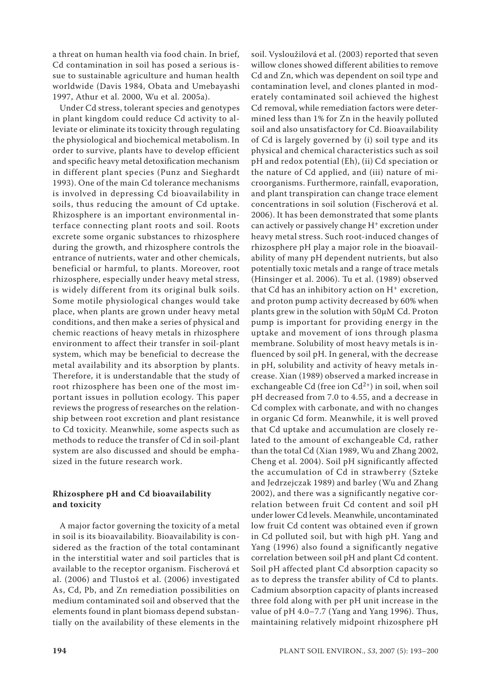a threat on human health via food chain. In brief, Cd contamination in soil has posed a serious issue to sustainable agriculture and human health worldwide (Davis 1984, Obata and Umebayashi 1997, Athur et al. 2000, Wu et al. 2005a).

Under Cd stress, tolerant species and genotypes in plant kingdom could reduce Cd activity to alleviate or eliminate its toxicity through regulating the physiological and biochemical metabolism. In order to survive, plants have to develop efficient and specific heavy metal detoxification mechanism in different plant species (Punz and Sieghardt 1993). One of the main Cd tolerance mechanisms is involved in depressing Cd bioavailability in soils, thus reducing the amount of Cd uptake. Rhizosphere is an important environmental interface connecting plant roots and soil. Roots excrete some organic substances to rhizosphere during the growth, and rhizosphere controls the entrance of nutrients, water and other chemicals, beneficial or harmful, to plants. Moreover, root rhizosphere, especially under heavy metal stress, is widely different from its original bulk soils. Some motile physiological changes would take place, when plants are grown under heavy metal conditions, and then make a series of physical and chemic reactions of heavy metals in rhizosphere environment to affect their transfer in soil-plant system, which may be beneficial to decrease the metal availability and its absorption by plants. Therefore, it is understandable that the study of root rhizosphere has been one of the most important issues in pollution ecology. This paper reviews the progress of researches on the relationship between root excretion and plant resistance to Cd toxicity. Meanwhile, some aspects such as methods to reduce the transfer of Cd in soil-plant system are also discussed and should be emphasized in the future research work.

## **Rhizosphere pH and Cd bioavailability and toxicity**

A major factor governing the toxicity of a metal in soil is its bioavailability. Bioavailability is considered as the fraction of the total contaminant in the interstitial water and soil particles that is available to the receptor organism. Fischerová et al. (2006) and Tlustoš et al. (2006) investigated As, Cd, Pb, and Zn remediation possibilities on medium contaminated soil and observed that the elements found in plant biomass depend substantially on the availability of these elements in the soil. Vysloužilová et al. (2003) reported that seven willow clones showed different abilities to remove Cd and Zn, which was dependent on soil type and contamination level, and clones planted in moderately contaminated soil achieved the highest Cd removal, while remediation factors were determined less than 1% for Zn in the heavily polluted soil and also unsatisfactory for Cd. Bioavailability of Cd is largely governed by (i) soil type and its physical and chemical characteristics such as soil pH and redox potential (Eh), (ii) Cd speciation or the nature of Cd applied, and (iii) nature of microorganisms. Furthermore, rainfall, evaporation, and plant transpiration can change trace element concentrations in soil solution (Fischerová et al. 2006). It has been demonstrated that some plants can actively or passively change H<sup>+</sup> excretion under heavy metal stress. Such root-induced changes of rhizosphere pH play a major role in the bioavailability of many pH dependent nutrients, but also potentially toxic metals and a range of trace metals (Hinsinger et al. 2006). Tu et al. (1989) observed that Cd has an inhibitory action on  $H^+$  excretion, and proton pump activity decreased by 60% when plants grew in the solution with 50µM Cd. Proton pump is important for providing energy in the uptake and movement of ions through plasma membrane. Solubility of most heavy metals is influenced by soil pH. In general, with the decrease in pH, solubility and activity of heavy metals increase. Xian (1989) observed a marked increase in exchangeable Cd (free ion  $Cd^{2+}$ ) in soil, when soil pH decreased from 7.0 to 4.55, and a decrease in Cd complex with carbonate, and with no changes in organic Cd form. Meanwhile, it is well proved that Cd uptake and accumulation are closely related to the amount of exchangeable Cd, rather than the total Cd (Xian 1989, Wu and Zhang 2002, Cheng et al. 2004). Soil pH significantly affected the accumulation of Cd in strawberry (Szteke and Jedrzejczak 1989) and barley (Wu and Zhang 2002), and there was a significantly negative correlation between fruit Cd content and soil pH under lower Cd levels. Meanwhile, uncontaminated low fruit Cd content was obtained even if grown in Cd polluted soil, but with high pH. Yang and Yang (1996) also found a significantly negative correlation between soil pH and plant Cd content. Soil pH affected plant Cd absorption capacity so as to depress the transfer ability of Cd to plants. Cadmium absorption capacity of plants increased three fold along with per pH unit increase in the value of pH 4.0–7.7 (Yang and Yang 1996). Thus, maintaining relatively midpoint rhizosphere pH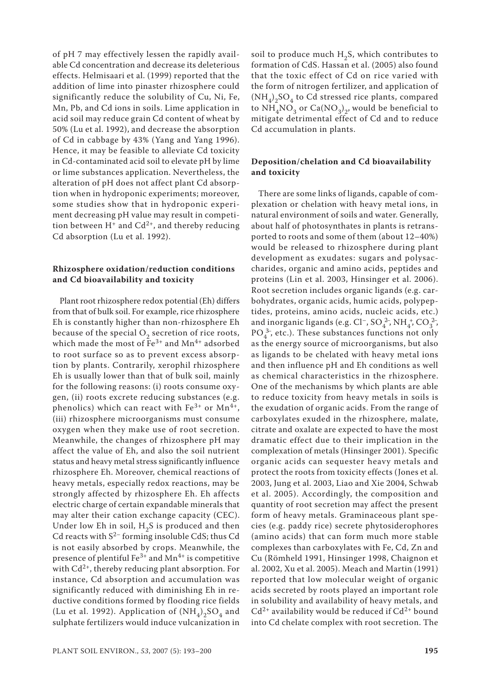of pH 7 may effectively lessen the rapidly available Cd concentration and decrease its deleterious effects. Helmisaari et al. (1999) reported that the addition of lime into pinaster rhizosphere could significantly reduce the solubility of Cu, Ni, Fe, Mn, Pb, and Cd ions in soils. Lime application in acid soil may reduce grain Cd content of wheat by 50% (Lu et al. 1992), and decrease the absorption of Cd in cabbage by 43% (Yang and Yang 1996). Hence, it may be feasible to alleviate Cd toxicity in Cd-contaminated acid soil to elevate pH by lime or lime substances application. Nevertheless, the alteration of pH does not affect plant Cd absorption when in hydroponic experiments; moreover, some studies show that in hydroponic experiment decreasing pH value may result in competition between  $H^+$  and  $Cd^{2+}$ , and thereby reducing Cd absorption (Lu et al. 1992).

## **Rhizosphere oxidation/reduction conditions and Cd bioavailability and toxicity**

Plant root rhizosphere redox potential (Eh) differs from that of bulk soil. For example, rice rhizosphere Eh is constantly higher than non-rhizosphere Eh because of the special  $O_2$  secretion of rice roots, which made the most of  $Fe^{3+}$  and Mn<sup>4+</sup> adsorbed to root surface so as to prevent excess absorption by plants. Contrarily, xerophil rhizosphere Eh is usually lower than that of bulk soil, mainly for the following reasons: (i) roots consume oxygen, (ii) roots excrete reducing substances (e.g. phenolics) which can react with  $Fe^{3+}$  or Mn<sup>4+</sup>, (iii) rhizosphere microorganisms must consume oxygen when they make use of root secretion. Meanwhile, the changes of rhizosphere pH may affect the value of Eh, and also the soil nutrient status and heavy metal stress significantly influence rhizosphere Eh. Moreover, chemical reactions of heavy metals, especially redox reactions, may be strongly affected by rhizosphere Eh. Eh affects electric charge of certain expandable minerals that may alter their cation exchange capacity (CEC). Under low Eh in soil,  $H_2S$  is produced and then Cd reacts with  $S^{2-}$  forming insoluble CdS; thus Cd is not easily absorbed by crops. Meanwhile, the presence of plentiful  $Fe^{3+}$  and  $Mn^{4+}$  is competitive with  $Cd^{2+}$ , thereby reducing plant absorption. For instance, Cd absorption and accumulation was significantly reduced with diminishing Eh in reductive conditions formed by flooding rice fields (Lu et al. 1992). Application of  $(NH_4)_2SO_4$  and sulphate fertilizers would induce vulcanization in soil to produce much  $H<sub>2</sub>S$ , which contributes to formation of CdS. Hassan et al. (2005) also found that the toxic effect of Cd on rice varied with the form of nitrogen fertilizer, and application of  $(NH_4)_2SO_4$  to Cd stressed rice plants, compared to  $NH<sub>4</sub>NO<sub>3</sub>$  or Ca(NO<sub>3</sub>)<sub>2</sub>, would be beneficial to mitigate detrimental effect of Cd and to reduce Cd accumulation in plants.

## **Deposition/chelation and Cd bioavailability and toxicity**

There are some links of ligands, capable of complexation or chelation with heavy metal ions, in natural environment of soils and water. Generally, about half of photosynthates in plants is retransported to roots and some of them (about 12–40%) would be released to rhizosphere during plant development as exudates: sugars and polysaccharides, organic and amino acids, peptides and proteins (Lin et al. 2003, Hinsinger et al. 2006). Root secretion includes organic ligands (e.g. carbohydrates, organic acids, humic acids, polypeptides, proteins, amino acids, nucleic acids, etc.) and inorganic ligands (e.g. Cl<sup>-</sup>, SO<sub>4</sub><sup>2</sup>, NH<sub>4</sub><sup>+</sup>, CO<sub>3</sub><sup>2</sup>,  $PO_4^{3}$ , etc.). These substances functions not only as the energy source of microorganisms, but also as ligands to be chelated with heavy metal ions and then influence pH and Eh conditions as well as chemical characteristics in the rhizosphere. One of the mechanisms by which plants are able to reduce toxicity from heavy metals in soils is the exudation of organic acids. From the range of carboxylates exuded in the rhizosphere, malate, citrate and oxalate are expected to have the most dramatic effect due to their implication in the complexation of metals (Hinsinger 2001). Specific organic acids can sequester heavy metals and protect the roots from toxicity effects (Jones et al. 2003, Jung et al. 2003, Liao and Xie 2004, Schwab et al. 2005). Accordingly, the composition and quantity of root secretion may affect the present form of heavy metals. Graminaceous plant species (e.g. paddy rice) secrete phytosiderophores (amino acids) that can form much more stable complexes than carboxylates with Fe, Cd, Zn and Cu (Römheld 1991, Hinsinger 1998, Chaignon et al. 2002, Xu et al. 2005). Meach and Martin (1991) reported that low molecular weight of organic acids secreted by roots played an important role in solubility and availability of heavy metals, and  $Cd^{2+}$  availability would be reduced if  $Cd^{2+}$  bound into Cd chelate complex with root secretion. The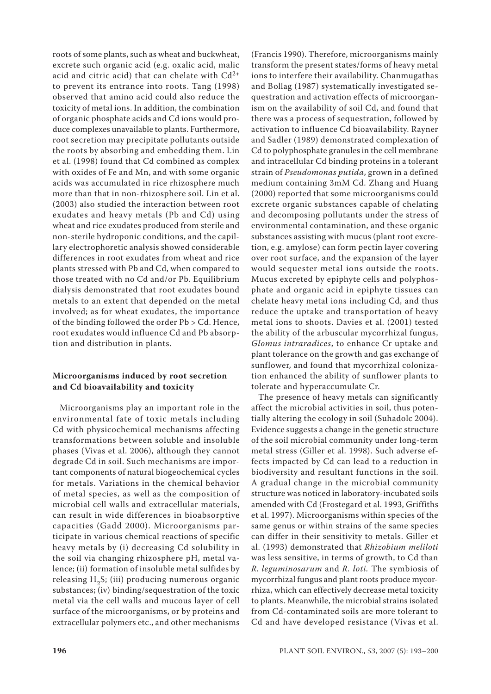roots of some plants, such as wheat and buckwheat, excrete such organic acid (e.g. oxalic acid, malic acid and citric acid) that can chelate with  $Cd^{2+}$ to prevent its entrance into roots. Tang (1998) observed that amino acid could also reduce the toxicity of metal ions. In addition, the combination of organic phosphate acids and Cd ions would produce complexes unavailable to plants. Furthermore, root secretion may precipitate pollutants outside the roots by absorbing and embedding them. Lin et al. (1998) found that Cd combined as complex with oxides of Fe and Mn, and with some organic acids was accumulated in rice rhizosphere much more than that in non-rhizosphere soil. Lin et al. (2003) also studied the interaction between root exudates and heavy metals (Pb and Cd) using wheat and rice exudates produced from sterile and non-sterile hydroponic conditions, and the capillary electrophoretic analysis showed considerable differences in root exudates from wheat and rice plants stressed with Pb and Cd, when compared to those treated with no Cd and/or Pb. Equilibrium dialysis demonstrated that root exudates bound metals to an extent that depended on the metal involved; as for wheat exudates, the importance of the binding followed the order Pb > Cd. Hence, root exudates would influence Cd and Pb absorption and distribution in plants.

## **Microorganisms induced by root secretion and Cd bioavailability and toxicity**

Microorganisms play an important role in the environmental fate of toxic metals including Cd with physicochemical mechanisms affecting transformations between soluble and insoluble phases (Vivas et al. 2006), although they cannot degrade Cd in soil. Such mechanisms are important components of natural biogeochemical cycles for metals. Variations in the chemical behavior of metal species, as well as the composition of microbial cell walls and extracellular materials, can result in wide differences in bioabsorptive capacities (Gadd 2000). Microorganisms participate in various chemical reactions of specific heavy metals by (i) decreasing Cd solubility in the soil via changing rhizosphere pH, metal valence; (ii) formation of insoluble metal sulfides by releasing H<sub>2</sub>S; (iii) producing numerous organic substances; (iv) binding/sequestration of the toxic metal via the cell walls and mucous layer of cell surface of the microorganisms, or by proteins and extracellular polymers etc., and other mechanisms

(Francis 1990). Therefore, microorganisms mainly transform the present states/forms of heavy metal ions to interfere their availability. Chanmugathas and Bollag (1987) systematically investigated sequestration and activation effects of microorganism on the availability of soil Cd, and found that there was a process of sequestration, followed by activation to influence Cd bioavailability. Rayner and Sadler (1989) demonstrated complexation of Cd to polyphosphate granules in the cell membrane and intracellular Cd binding proteins in a tolerant strain of *Pseudomonas putida*, grown in a defined medium containing 3mM Cd. Zhang and Huang (2000) reported that some microorganisms could excrete organic substances capable of chelating and decomposing pollutants under the stress of environmental contamination, and these organic substances assisting with mucus (plant root excretion, e.g. amylose) can form pectin layer covering over root surface, and the expansion of the layer would sequester metal ions outside the roots. Mucus excreted by epiphyte cells and polyphosphate and organic acid in epiphyte tissues can chelate heavy metal ions including Cd, and thus reduce the uptake and transportation of heavy metal ions to shoots. Davies et al. (2001) tested the ability of the arbuscular mycorrhizal fungus, *Glomus intraradices*, to enhance Cr uptake and plant tolerance on the growth and gas exchange of sunflower, and found that mycorrhizal colonization enhanced the ability of sunflower plants to tolerate and hyperaccumulate Cr.

The presence of heavy metals can significantly affect the microbial activities in soil, thus potentially altering the ecology in soil (Suhadolc 2004). Evidence suggests a change in the genetic structure of the soil microbial community under long-term metal stress (Giller et al. 1998). Such adverse effects impacted by Cd can lead to a reduction in biodiversity and resultant functions in the soil. A gradual change in the microbial community structure was noticed in laboratory-incubated soils amended with Cd (Frostegard et al. 1993, Griffiths et al. 1997). Microorganisms within species of the same genus or within strains of the same species can differ in their sensitivity to metals. Giller et al. (1993) demonstrated that *Rhizobium meliloti* was less sensitive, in terms of growth, to Cd than *R. leguminosarum* and *R. loti.* The symbiosis of mycorrhizal fungus and plant roots produce mycorrhiza, which can effectively decrease metal toxicity to plants. Meanwhile, the microbial strains isolated from Cd-contaminated soils are more tolerant to Cd and have developed resistance (Vivas et al.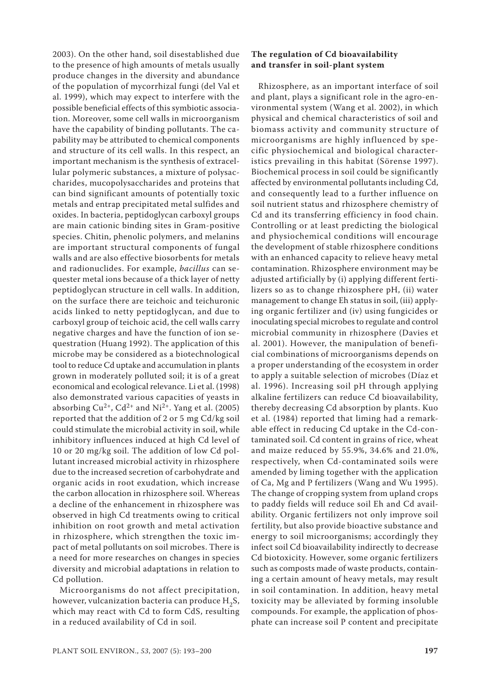2003). On the other hand, soil disestablished due to the presence of high amounts of metals usually produce changes in the diversity and abundance of the population of mycorrhizal fungi (del Val et al. 1999), which may expect to interfere with the possible beneficial effects of this symbiotic association. Moreover, some cell walls in microorganism have the capability of binding pollutants. The capability may be attributed to chemical components and structure of its cell walls. In this respect, an important mechanism is the synthesis of extracellular polymeric substances, a mixture of polysaccharides, mucopolysaccharides and proteins that can bind significant amounts of potentially toxic metals and entrap precipitated metal sulfides and oxides. In bacteria, peptidoglycan carboxyl groups are main cationic binding sites in Gram-positive species. Chitin, phenolic polymers, and melanins are important structural components of fungal walls and are also effective biosorbents for metals and radionuclides. For example, *bacillus* can sequester metal ions because of a thick layer of netty peptidoglycan structure in cell walls. In addition, on the surface there are teichoic and teichuronic acids linked to netty peptidoglycan, and due to carboxyl group of teichoic acid, the cell walls carry negative charges and have the function of ion sequestration (Huang 1992). The application of this microbe may be considered as a biotechnological tool to reduce Cd uptake and accumulation in plants grown in moderately polluted soil; it is of a great economical and ecological relevance. Li et al. (1998) also demonstrated various capacities of yeasts in absorbing  $Cu^{2+}$ ,  $Cd^{2+}$  and  $Ni^{2+}$ . Yang et al. (2005) reported that the addition of 2 or 5 mg Cd/kg soil could stimulate the microbial activity in soil, while inhibitory influences induced at high Cd level of 10 or 20 mg/kg soil. The addition of low Cd pollutant increased microbial activity in rhizosphere due to the increased secretion of carbohydrate and organic acids in root exudation, which increase the carbon allocation in rhizosphere soil. Whereas a decline of the enhancement in rhizosphere was observed in high Cd treatments owing to critical inhibition on root growth and metal activation in rhizosphere, which strengthen the toxic impact of metal pollutants on soil microbes. There is a need for more researches on changes in species diversity and microbial adaptations in relation to Cd pollution.

Microorganisms do not affect precipitation, however, vulcanization bacteria can produce H<sub>2</sub>S, which may react with Cd to form CdS, resulting in a reduced availability of Cd in soil.

### **The regulation of Cd bioavailability and transfer in soil-plant system**

Rhizosphere, as an important interface of soil and plant, plays a significant role in the agro-environmental system (Wang et al. 2002), in which physical and chemical characteristics of soil and biomass activity and community structure of microorganisms are highly influenced by specific physiochemical and biological characteristics prevailing in this habitat (Sörense 1997). Biochemical process in soil could be significantly affected by environmental pollutants including Cd, and consequently lead to a further influence on soil nutrient status and rhizosphere chemistry of Cd and its transferring efficiency in food chain. Controlling or at least predicting the biological and physiochemical conditions will encourage the development of stable rhizosphere conditions with an enhanced capacity to relieve heavy metal contamination. Rhizosphere environment may be adjusted artificially by (i) applying different fertilizers so as to change rhizosphere pH, (ii) water management to change Eh status in soil, (iii) applying organic fertilizer and (iv) using fungicides or inoculating special microbes to regulate and control microbial community in rhizosphere (Davies et al. 2001). However, the manipulation of beneficial combinations of microorganisms depends on a proper understanding of the ecosystem in order to apply a suitable selection of microbes (Díaz et al. 1996). Increasing soil pH through applying alkaline fertilizers can reduce Cd bioavailability, thereby decreasing Cd absorption by plants. Kuo et al. (1984) reported that liming had a remarkable effect in reducing Cd uptake in the Cd-contaminated soil. Cd content in grains of rice, wheat and maize reduced by 55.9%, 34.6% and 21.0%, respectively, when Cd-contaminated soils were amended by liming together with the application of Ca, Mg and P fertilizers (Wang and Wu 1995). The change of cropping system from upland crops to paddy fields will reduce soil Eh and Cd availability. Organic fertilizers not only improve soil fertility, but also provide bioactive substance and energy to soil microorganisms; accordingly they infect soil Cd bioavailability indirectly to decrease Cd biotoxicity. However, some organic fertilizers such as composts made of waste products, containing a certain amount of heavy metals, may result in soil contamination. In addition, heavy metal toxicity may be alleviated by forming insoluble compounds. For example, the application of phosphate can increase soil P content and precipitate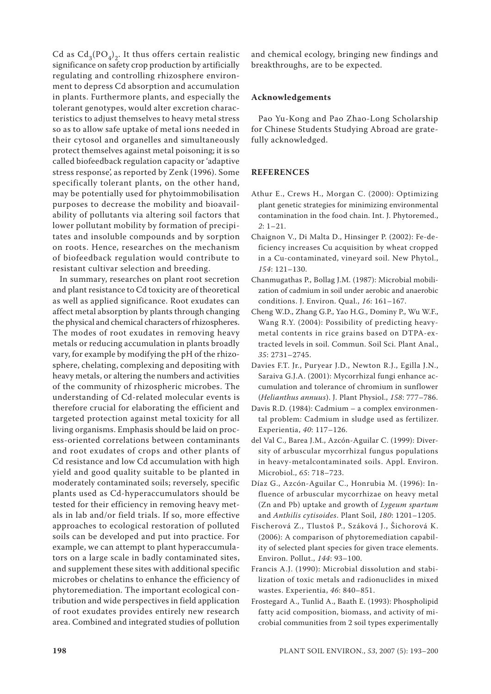Cd as  $Cd_2(PO_4)_{2}$ . It thus offers certain realistic significance on safety crop production by artificially regulating and controlling rhizosphere environment to depress Cd absorption and accumulation in plants. Furthermore plants, and especially the tolerant genotypes, would alter excretion characteristics to adjust themselves to heavy metal stress so as to allow safe uptake of metal ions needed in their cytosol and organelles and simultaneously protect themselves against metal poisoning; it is so called biofeedback regulation capacity or 'adaptive stress response', as reported by Zenk (1996). Some specifically tolerant plants, on the other hand, may be potentially used for phytoimmobilisation purposes to decrease the mobility and bioavailability of pollutants via altering soil factors that lower pollutant mobility by formation of precipitates and insoluble compounds and by sorption on roots. Hence, researches on the mechanism of biofeedback regulation would contribute to resistant cultivar selection and breeding.

In summary, researches on plant root secretion and plant resistance to Cd toxicity are of theoretical as well as applied significance. Root exudates can affect metal absorption by plants through changing the physical and chemical characters of rhizospheres. The modes of root exudates in removing heavy metals or reducing accumulation in plants broadly vary, for example by modifying the pH of the rhizosphere, chelating, complexing and depositing with heavy metals, or altering the numbers and activities of the community of rhizospheric microbes. The understanding of Cd-related molecular events is therefore crucial for elaborating the efficient and targeted protection against metal toxicity for all living organisms. Emphasis should be laid on process-oriented correlations between contaminants and root exudates of crops and other plants of Cd resistance and low Cd accumulation with high yield and good quality suitable to be planted in moderately contaminated soils; reversely, specific plants used as Cd-hyperaccumulators should be tested for their efficiency in removing heavy metals in lab and/or field trials. If so, more effective approaches to ecological restoration of polluted soils can be developed and put into practice. For example, we can attempt to plant hyperaccumulators on a large scale in badly contaminated sites, and supplement these sites with additional specific microbes or chelatins to enhance the efficiency of phytoremediation. The important ecological contribution and wide perspectives in field application of root exudates provides entirely new research area. Combined and integrated studies of pollution and chemical ecology, bringing new findings and breakthroughs, are to be expected.

### **Acknowledgements**

Pao Yu-Kong and Pao Zhao-Long Scholarship for Chinese Students Studying Abroad are gratefully acknowledged.

#### **REFERENCES**

- Athur E., Crews H., Morgan C. (2000): Optimizing plant genetic strategies for minimizing environmental contamination in the food chain. Int. J. Phytoremed., *2*: 1–21.
- Chaignon V., Di Malta D., Hinsinger P. (2002): Fe-deficiency increases Cu acquisition by wheat cropped in a Cu-contaminated, vineyard soil. New Phytol., *154*: 121–130.
- Chanmugathas P., Bollag J.M. (1987): Microbial mobilization of cadmium in soil under aerobic and anaerobic conditions. J. Environ. Qual., *16*: 161–167.
- Cheng W.D., Zhang G.P., Yao H.G., Dominy P., Wu W.F., Wang R.Y. (2004): Possibility of predicting heavymetal contents in rice grains based on DTPA-extracted levels in soil. Commun. Soil Sci. Plant Anal., *35*: 2731–2745.
- Davies F.T. Jr., Puryear J.D., Newton R.J., Egilla J.N., Saraiva G.J.A. (2001): Mycorrhizal fungi enhance accumulation and tolerance of chromium in sunflower (*Helianthus annuus*). J. Plant Physiol., *158*: 777–786.
- Davis R.D. (1984): Cadmium a complex environmental problem: Cadmium in sludge used as fertilizer. Experientia, *40*: 117–126.
- del Val C., Barea J.M., Azcón-Aguilar C. (1999): Diversity of arbuscular mycorrhizal fungus populations in heavy-metalcontaminated soils. Appl. Environ. Microbiol., *65*: 718–723.
- Díaz G., Azcón-Aguilar C., Honrubia M. (1996): Influence of arbuscular mycorrhizae on heavy metal (Zn and Pb) uptake and growth of *Lygeum spartum*  and *Anthilis cytisoides*. Plant Soil, *180*: 1201–1205.
- Fischerová Z., Tlustoš P., Száková J., Šichorová K. (2006): A comparison of phytoremediation capability of selected plant species for given trace elements. Environ. Pollut., *144*: 93–100.
- Francis A.J. (1990): Microbial dissolution and stabilization of toxic metals and radionuclides in mixed wastes. Experientia, *46*: 840–851.
- Frostegard A., Tunlid A., Baath E. (1993): Phospholipid fatty acid composition, biomass, and activity of microbial communities from 2 soil types experimentally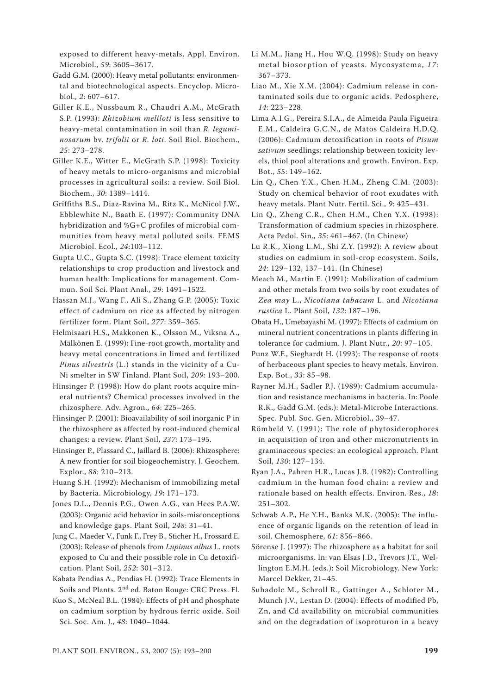exposed to different heavy-metals. Appl. Environ. Microbiol., *59*: 3605–3617.

Gadd G.M. (2000): Heavy metal pollutants: environmental and biotechnological aspects. Encyclop. Microbiol., *2*: 607–617.

Giller K.E., Nussbaum R., Chaudri A.M., McGrath S.P. (1993): *Rhizobium meliloti* is less sensitive to heavy-metal contamination in soil than *R. leguminosarum* bv. *trifolii* or *R. loti*. Soil Biol. Biochem., *25*: 273–278.

Giller K.E., Witter E., McGrath S.P. (1998): Toxicity of heavy metals to micro-organisms and microbial processes in agricultural soils: a review. Soil Biol. Biochem., *30*: 1389–1414.

Griffiths B.S., Diaz-Ravina M., Ritz K., McNicol J.W., Ebblewhite N., Baath E. (1997): Community DNA hybridization and %G+C profiles of microbial communities from heavy metal polluted soils. FEMS Microbiol. Ecol., *24*:103–112.

Gupta U.C., Gupta S.C. (1998): Trace element toxicity relationships to crop production and livestock and human health: Implications for management. Commun. Soil Sci. Plant Anal., *29*: 1491–1522.

Hassan M.J., Wang F., Ali S., Zhang G.P. (2005): Toxic effect of cadmium on rice as affected by nitrogen fertilizer form. Plant Soil, *277*: 359–365.

Helmisaari H.S., Makkonen K., Olsson M., Viksna A., Mälkönen E. (1999): Fine-root growth, mortality and heavy metal concentrations in limed and fertilized *Pinus silvestris* (L.) stands in the vicinity of a Cu-Ni smelter in SW Finland. Plant Soil, *209*: 193–200.

Hinsinger P. (1998): How do plant roots acquire mineral nutrients? Chemical processes involved in the rhizosphere. Adv. Agron., *64*: 225–265.

Hinsinger P. (2001): Bioavailability of soil inorganic P in the rhizosphere as affected by root-induced chemical changes: a review. Plant Soil, *237*: 173–195.

Hinsinger P., Plassard C., Jaillard B. (2006): Rhizosphere: A new frontier for soil biogeochemistry. J. Geochem. Explor., *88*: 210–213.

Huang S.H. (1992): Mechanism of immobilizing metal by Bacteria. Microbiology, *19*: 171–173.

Jones D.L., Dennis P.G., Owen A.G., van Hees P.A.W. (2003): Organic acid behavior in soils-misconceptions and knowledge gaps. Plant Soil, *248*: 31–41.

Jung C., Maeder V., Funk F., Frey B., Sticher H., Frossard E. (2003): Release of phenols from *Lupinus albus* L. roots exposed to Cu and their possible role in Cu detoxification. Plant Soil, *252*: 301–312.

Kabata Pendias A., Pendias H. (1992): Trace Elements in Soils and Plants. 2nd ed. Baton Rouge: CRC Press. Fl.

Kuo S., McNeal B.L. (1984): Effects of pH and phosphate on cadmium sorption by hydrous ferric oxide. Soil Sci. Soc. Am. J., *48*: 1040–1044.

Li M.M., Jiang H., Hou W.Q. (1998): Study on heavy metal biosorption of yeasts. Mycosystema, *17*: 367–373.

Liao M., Xie X.M. (2004): Cadmium release in contaminated soils due to organic acids. Pedosphere, *14*: 223–228.

Lima A.I.G., Pereira S.I.A., de Almeida Paula Figueira E.M., Caldeira G.C.N., de Matos Caldeira H.D.Q. (2006): Cadmium detoxification in roots of *Pisum sativum* seedlings: relationship between toxicity levels, thiol pool alterations and growth. Environ. Exp. Bot., *55*: 149–162.

Lin Q., Chen Y.X., Chen H.M., Zheng C.M. (2003): Study on chemical behavior of root exudates with heavy metals. Plant Nutr. Fertil. Sci., *9*: 425–431.

Lin Q., Zheng C.R., Chen H.M., Chen Y.X. (1998): Transformation of cadmium species in rhizosphere. Acta Pedol. Sin., *35*: 461–467. (In Chinese)

Lu R.K., Xiong L.M., Shi Z.Y. (1992): A review about studies on cadmium in soil-crop ecosystem. Soils, *24*: 129–132, 137–141. (In Chinese)

Meach M., Martin E. (1991): Mobilization of cadmium and other metals from two soils by root exudates of *Zea may* L., *Nicotiana tabacum* L. and *Nicotiana rustica* L. Plant Soil, *132*: 187–196.

Obata H., Umebayashi M. (1997): Effects of cadmium on mineral nutrient concentrations in plants differing in tolerance for cadmium. J. Plant Nutr., *20*: 97–105.

Punz W.F., Sieghardt H. (1993): The response of roots of herbaceous plant species to heavy metals. Environ. Exp. Bot., *33*: 85–98.

Rayner M.H., Sadler P.J. (1989): Cadmium accumulation and resistance mechanisms in bacteria. In: Poole R.K., Gadd G.M. (eds.): Metal-Microbe Interactions. Spec. Publ. Soc. Gen. Microbiol., 39–47.

Römheld V. (1991): The role of phytosiderophores in acquisition of iron and other micronutrients in graminaceous species: an ecological approach. Plant Soil, *130*: 127–134.

Ryan J.A., Pahren H.R., Lucas J.B. (1982): Controlling cadmium in the human food chain: a review and rationale based on health effects. Environ. Res., *18*: 251–302.

Schwab A.P., He Y.H., Banks M.K. (2005): The influence of organic ligands on the retention of lead in soil. Chemosphere, *61*: 856–866.

Sörense J. (1997): The rhizosphere as a habitat for soil microorganisms. In: van Elsas J.D., Trevors J.T., Wellington E.M.H. (eds.): Soil Microbiology. New York: Marcel Dekker, 21–45.

Suhadolc M., Schroll R., Gattinger A., Schloter M., Munch J.V., Lestan D. (2004): Effects of modified Pb, Zn, and Cd availability on microbial communities and on the degradation of isoproturon in a heavy